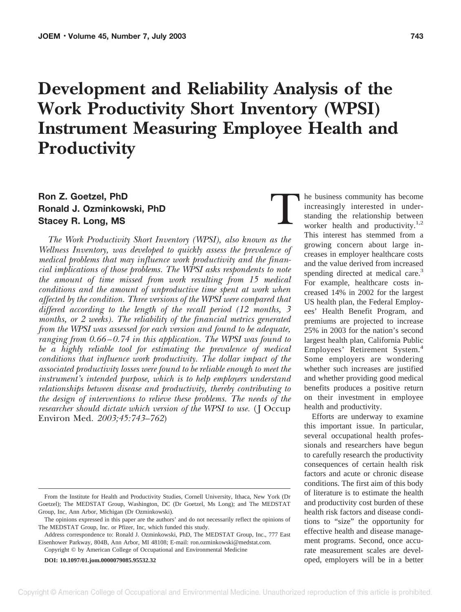# **Development and Reliability Analysis of the Work Productivity Short Inventory (WPSI) Instrument Measuring Employee Health and Productivity**

# **Ron Z. Goetzel, PhD Ronald J. Ozminkowski, PhD Stacey R. Long, MS**

*The Work Productivity Short Inventory (WPSI), also known as the Wellness Inventory, was developed to quickly assess the prevalence of medical problems that may influence work productivity and the financial implications of those problems. The WPSI asks respondents to note the amount of time missed from work resulting from 15 medical conditions and the amount of unproductive time spent at work when affected by the condition. Three versions of the WPSI were compared that differed according to the length of the recall period (12 months, 3 months, or 2 weeks). The reliability of the financial metrics generated from the WPSI was assessed for each version and found to be adequate, ranging from 0.66–0.74 in this application. The WPSI was found to be a highly reliable tool for estimating the prevalence of medical conditions that influence work productivity. The dollar impact of the associated productivity losses were found to be reliable enough to meet the instrument's intended purpose, which is to help employers understand relationships between disease and productivity, thereby contributing to the design of interventions to relieve these problems. The needs of the researcher should dictate which version of the WPSI to use.* (J Occup Environ Med. *2003;45:743–762*)

Address correspondence to: Ronald J. Ozminkowski, PhD, The MEDSTAT Group, Inc., 777 East Eisenhower Parkway, 804B, Ann Arbor, MI 48108; E-mail: ron.ozminkowski@medstat.com. Copyright © by American College of Occupational and Environmental Medicine

**DOI: 10.1097/01.jom.0000079085.95532.32**

The business community has become<br>increasingly interested in under-<br>standing the relationship between<br>worker health and productivity.<sup>1,2</sup><br>This interest has stemmed from a increasingly interested in understanding the relationship between worker health and productivity.<sup>1,2</sup> This interest has stemmed from a growing concern about large increases in employer healthcare costs and the value derived from increased spending directed at medical care.<sup>3</sup> For example, healthcare costs increased 14% in 2002 for the largest US health plan, the Federal Employees' Health Benefit Program, and premiums are projected to increase 25% in 2003 for the nation's second largest health plan, California Public Employees' Retirement System.<sup>4</sup> Some employers are wondering whether such increases are justified and whether providing good medical benefits produces a positive return on their investment in employee health and productivity.

> Efforts are underway to examine this important issue. In particular, several occupational health professionals and researchers have begun to carefully research the productivity consequences of certain health risk factors and acute or chronic disease conditions. The first aim of this body of literature is to estimate the health and productivity cost burden of these health risk factors and disease conditions to "size" the opportunity for effective health and disease management programs. Second, once accurate measurement scales are developed, employers will be in a better

From the Institute for Health and Productivity Studies, Cornell University, Ithaca, New York (Dr Goetzel); The MEDSTAT Group, Washington, DC (Dr Goetzel, Ms Long); and The MEDSTAT Group, Inc, Ann Arbor, Michigan (Dr Ozminkowski).

The opinions expressed in this paper are the authors' and do not necessarily reflect the opinions of The MEDSTAT Group, Inc. or Pfizer, Inc, which funded this study.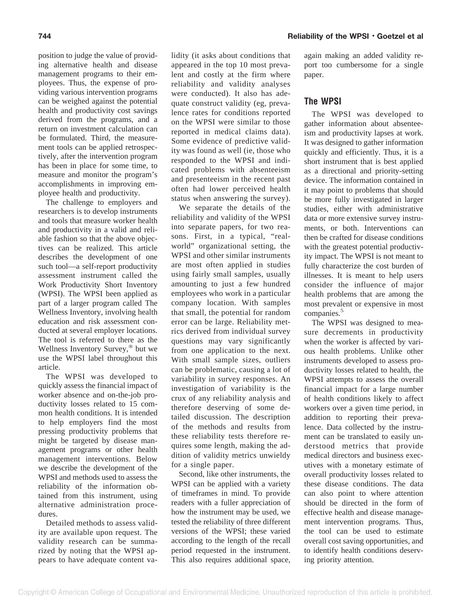position to judge the value of providing alternative health and disease management programs to their employees. Thus, the expense of providing various intervention programs can be weighed against the potential health and productivity cost savings derived from the programs, and a return on investment calculation can be formulated. Third, the measurement tools can be applied retrospectively, after the intervention program has been in place for some time, to measure and monitor the program's accomplishments in improving employee health and productivity.

The challenge to employers and researchers is to develop instruments and tools that measure worker health and productivity in a valid and reliable fashion so that the above objectives can be realized. This article describes the development of one such tool—a self-report productivity assessment instrument called the Work Productivity Short Inventory (WPSI). The WPSI been applied as part of a larger program called The Wellness Inventory, involving health education and risk assessment conducted at several employer locations. The tool is referred to there as the Wellness Inventory Survey,® but we use the WPSI label throughout this article.

The WPSI was developed to quickly assess the financial impact of worker absence and on-the-job productivity losses related to 15 common health conditions. It is intended to help employers find the most pressing productivity problems that might be targeted by disease management programs or other health management interventions. Below we describe the development of the WPSI and methods used to assess the reliability of the information obtained from this instrument, using alternative administration procedures.

Detailed methods to assess validity are available upon request. The validity research can be summarized by noting that the WPSI appears to have adequate content validity (it asks about conditions that appeared in the top 10 most prevalent and costly at the firm where reliability and validity analyses were conducted). It also has adequate construct validity (eg, prevalence rates for conditions reported on the WPSI were similar to those reported in medical claims data). Some evidence of predictive validity was found as well (ie, those who responded to the WPSI and indicated problems with absenteeism and presenteeism in the recent past often had lower perceived health status when answering the survey).

We separate the details of the reliability and validity of the WPSI into separate papers, for two reasons. First, in a typical, "realworld" organizational setting, the WPSI and other similar instruments are most often applied in studies using fairly small samples, usually amounting to just a few hundred employees who work in a particular company location. With samples that small, the potential for random error can be large. Reliability metrics derived from individual survey questions may vary significantly from one application to the next. With small sample sizes, outliers can be problematic, causing a lot of variability in survey responses. An investigation of variability is the crux of any reliability analysis and therefore deserving of some detailed discussion. The description of the methods and results from these reliability tests therefore requires some length, making the addition of validity metrics unwieldy for a single paper.

Second, like other instruments, the WPSI can be applied with a variety of timeframes in mind. To provide readers with a fuller appreciation of how the instrument may be used, we tested the reliability of three different versions of the WPSI; these varied according to the length of the recall period requested in the instrument. This also requires additional space,

again making an added validity report too cumbersome for a single paper.

#### **The WPSI**

The WPSI was developed to gather information about absenteeism and productivity lapses at work. It was designed to gather information quickly and efficiently. Thus, it is a short instrument that is best applied as a directional and priority-setting device. The information contained in it may point to problems that should be more fully investigated in larger studies, either with administrative data or more extensive survey instruments, or both. Interventions can then be crafted for disease conditions with the greatest potential productivity impact. The WPSI is not meant to fully characterize the cost burden of illnesses. It is meant to help users consider the influence of major health problems that are among the most prevalent or expensive in most companies.<sup>5</sup>

The WPSI was designed to measure decrements in productivity when the worker is affected by various health problems. Unlike other instruments developed to assess productivity losses related to health, the WPSI attempts to assess the overall financial impact for a large number of health conditions likely to affect workers over a given time period, in addition to reporting their prevalence. Data collected by the instrument can be translated to easily understood metrics that provide medical directors and business executives with a monetary estimate of overall productivity losses related to these disease conditions. The data can also point to where attention should be directed in the form of effective health and disease management intervention programs. Thus, the tool can be used to estimate overall cost saving opportunities, and to identify health conditions deserving priority attention.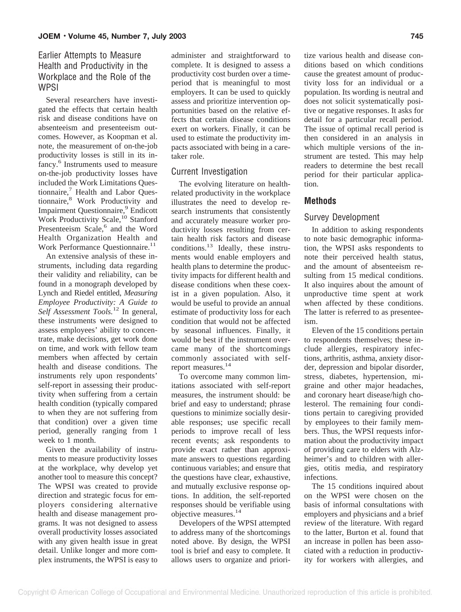# Earlier Attempts to Measure Health and Productivity in the Workplace and the Role of the **WPSI**

Several researchers have investigated the effects that certain health risk and disease conditions have on absenteeism and presenteeism outcomes. However, as Koopman et al. note, the measurement of on-the-job productivity losses is still in its infancy.6 Instruments used to measure on-the-job productivity losses have included the Work Limitations Questionnaire,<sup>7</sup> Health and Labor Ouestionnaire,<sup>8</sup> Work Productivity and Impairment Questionnaire,<sup>9</sup> Endicott Work Productivity Scale,<sup>10</sup> Stanford Presenteeism Scale,<sup>6</sup> and the Word Health Organization Health and Work Performance Questionnaire.<sup>11</sup>

An extensive analysis of these instruments, including data regarding their validity and reliability, can be found in a monograph developed by Lynch and Riedel entitled, *Measuring Employee Productivity: A Guide to Self Assessment Tools.*<sup>12</sup> In general, these instruments were designed to assess employees' ability to concentrate, make decisions, get work done on time, and work with fellow team members when affected by certain health and disease conditions. The instruments rely upon respondents' self-report in assessing their productivity when suffering from a certain health condition (typically compared to when they are not suffering from that condition) over a given time period, generally ranging from 1 week to 1 month.

Given the availability of instruments to measure productivity losses at the workplace, why develop yet another tool to measure this concept? The WPSI was created to provide direction and strategic focus for employers considering alternative health and disease management programs. It was not designed to assess overall productivity losses associated with any given health issue in great detail. Unlike longer and more complex instruments, the WPSI is easy to

administer and straightforward to complete. It is designed to assess a productivity cost burden over a timeperiod that is meaningful to most employers. It can be used to quickly assess and prioritize intervention opportunities based on the relative effects that certain disease conditions exert on workers. Finally, it can be used to estimate the productivity impacts associated with being in a caretaker role.

# Current Investigation

The evolving literature on healthrelated productivity in the workplace illustrates the need to develop research instruments that consistently and accurately measure worker productivity losses resulting from certain health risk factors and disease conditions.<sup>13</sup> Ideally, these instruments would enable employers and health plans to determine the productivity impacts for different health and disease conditions when these coexist in a given population. Also, it would be useful to provide an annual estimate of productivity loss for each condition that would not be affected by seasonal influences. Finally, it would be best if the instrument overcame many of the shortcomings commonly associated with selfreport measures.14

To overcome many common limitations associated with self-report measures, the instrument should: be brief and easy to understand; phrase questions to minimize socially desirable responses; use specific recall periods to improve recall of less recent events; ask respondents to provide exact rather than approximate answers to questions regarding continuous variables; and ensure that the questions have clear, exhaustive, and mutually exclusive response options. In addition, the self-reported responses should be verifiable using objective measures.14

Developers of the WPSI attempted to address many of the shortcomings noted above. By design, the WPSI tool is brief and easy to complete. It allows users to organize and priori-

tize various health and disease conditions based on which conditions cause the greatest amount of productivity loss for an individual or a population. Its wording is neutral and does not solicit systematically positive or negative responses. It asks for detail for a particular recall period. The issue of optimal recall period is then considered in an analysis in which multiple versions of the instrument are tested. This may help readers to determine the best recall period for their particular application.

# **Methods**

# Survey Development

In addition to asking respondents to note basic demographic information, the WPSI asks respondents to note their perceived health status, and the amount of absenteeism resulting from 15 medical conditions. It also inquires about the amount of unproductive time spent at work when affected by these conditions. The latter is referred to as presenteeism.

Eleven of the 15 conditions pertain to respondents themselves; these include allergies, respiratory infections, arthritis, asthma, anxiety disorder, depression and bipolar disorder, stress, diabetes, hypertension, migraine and other major headaches, and coronary heart disease/high cholesterol. The remaining four conditions pertain to caregiving provided by employees to their family members. Thus, the WPSI requests information about the productivity impact of providing care to elders with Alzheimer's and to children with allergies, otitis media, and respiratory infections.

The 15 conditions inquired about on the WPSI were chosen on the basis of informal consultations with employers and physicians and a brief review of the literature. With regard to the latter, Burton et al. found that an increase in pollen has been associated with a reduction in productivity for workers with allergies, and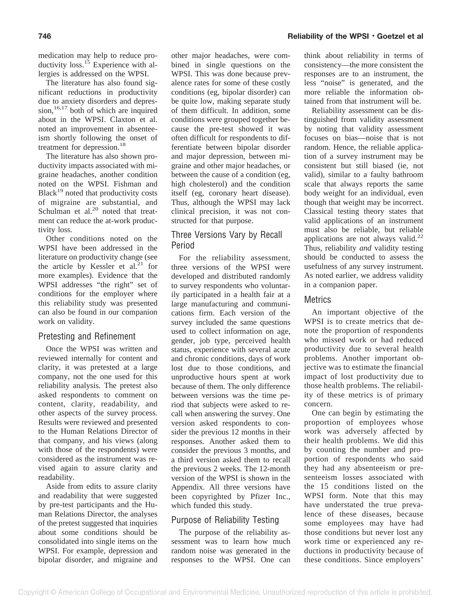medication may help to reduce productivity loss.<sup>15</sup> Experience with allergies is addressed on the WPSI.

The literature has also found significant reductions in productivity due to anxiety disorders and depression, $16,17$  both of which are inquired about in the WPSI. Claxton et al. noted an improvement in absenteeism shortly following the onset of treatment for depression.<sup>18</sup>

The literature has also shown productivity impacts associated with migraine headaches, another condition noted on the WPSI. Fishman and Black<sup>19</sup> noted that productivity costs of migraine are substantial, and Schulman et al.<sup>20</sup> noted that treatment can reduce the at-work productivity loss.

Other conditions noted on the WPSI have been addressed in the literature on productivity change (see the article by Kessler et al.<sup>21</sup> for more examples). Evidence that the WPSI addresses "the right" set of conditions for the employer where this reliability study was presented can also be found in our companion work on validity.

## Pretesting and Refinement

Once the WPSI was written and reviewed internally for content and clarity, it was pretested at a large company, not the one used for this reliability analysis. The pretest also asked respondents to comment on content, clarity, readability, and other aspects of the survey process. Results were reviewed and presented to the Human Relations Director of that company, and his views (along with those of the respondents) were considered as the instrument was revised again to assure clarity and readability.

Aside from edits to assure clarity and readability that were suggested by pre-test participants and the Human Relations Director, the analyses of the pretest suggested that inquiries about some conditions should be consolidated into single items on the WPSI. For example, depression and bipolar disorder, and migraine and

other major headaches, were combined in single questions on the WPSI. This was done because prevalence rates for some of these costly conditions (eg, bipolar disorder) can be quite low, making separate study of them difficult. In addition, some conditions were grouped together because the pre-test showed it was often difficult for respondents to differentiate between bipolar disorder and major depression, between migraine and other major headaches, or between the cause of a condition (eg, high cholesterol) and the condition itself (eg, coronary heart disease). Thus, although the WPSI may lack clinical precision, it was not constructed for that purpose.

# Three Versions Vary by Recall Period

For the reliability assessment, three versions of the WPSI were developed and distributed randomly to survey respondents who voluntarily participated in a health fair at a large manufacturing and communications firm. Each version of the survey included the same questions used to collect information on age, gender, job type, perceived health status, experience with several acute and chronic conditions, days of work lost due to those conditions, and unproductive hours spent at work because of them. The only difference between versions was the time period that subjects were asked to recall when answering the survey. One version asked respondents to consider the previous 12 months in their responses. Another asked them to consider the previous 3 months, and a third version asked them to recall the previous 2 weeks. The 12-month version of the WPSI is shown in the Appendix. All three versions have been copyrighted by Pfizer Inc., which funded this study.

# Purpose of Reliability Testing

The purpose of the reliability assessment was to learn how much random noise was generated in the responses to the WPSI. One can think about reliability in terms of consistency—the more consistent the responses are to an instrument, the less "noise" is generated, and the more reliable the information obtained from that instrument will be.

Reliability assessment can be distinguished from validity assessment by noting that validity assessment focuses on bias—noise that is not random. Hence, the reliable application of a survey instrument may be consistent but still biased (ie, not valid), similar to a faulty bathroom scale that always reports the same body weight for an individual, even though that weight may be incorrect. Classical testing theory states that valid applications of an instrument must also be reliable, but reliable applications are not always valid.<sup>22</sup> Thus, reliability *and* validity testing should be conducted to assess the usefulness of any survey instrument. As noted earlier, we address validity in a companion paper.

# **Metrics**

An important objective of the WPSI is to create metrics that denote the proportion of respondents who missed work or had reduced productivity due to several health problems. Another important objective was to estimate the financial impact of lost productivity due to those health problems. The reliability of these metrics is of primary concern.

One can begin by estimating the proportion of employees whose work was adversely affected by their health problems. We did this by counting the number and proportion of respondents who said they had any absenteeism or presenteeism losses associated with the 15 conditions listed on the WPSI form. Note that this may have understated the true prevalence of these diseases, because some employees may have had those conditions but never lost any work time or experienced any reductions in productivity because of these conditions. Since employers'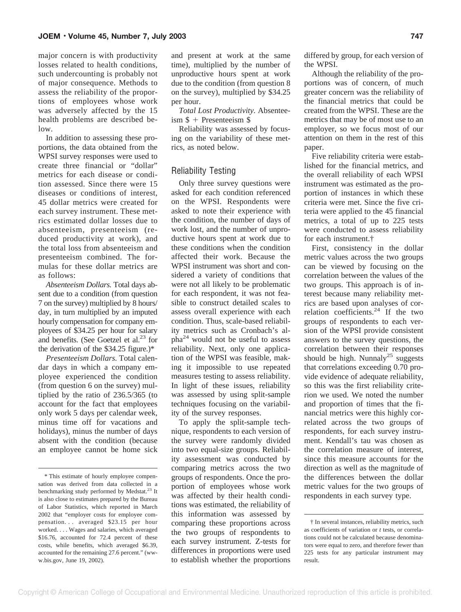major concern is with productivity losses related to health conditions, such undercounting is probably not of major consequence. Methods to assess the reliability of the proportions of employees whose work was adversely affected by the 15 health problems are described below.

In addition to assessing these proportions, the data obtained from the WPSI survey responses were used to create three financial or "dollar" metrics for each disease or condition assessed. Since there were 15 diseases or conditions of interest 45 dollar metrics were created for each survey instrument. These metrics estimated dollar losses due to absenteeism, presenteeism (reduced productivity at work), and the total loss from absenteeism and presenteeism combined. The formulas for these dollar metrics are as follows:

*Absenteeism Dollars.* Total days absent due to a condition (from question 7 on the survey) multiplied by 8 hours/ day, in turn multiplied by an imputed hourly compensation for company employees of \$34.25 per hour for salary and benefits. (See Goetzel et al.<sup>23</sup> for the derivation of the \$34.25 figure.)\*

*Presenteeism Dollars.* Total calendar days in which a company employee experienced the condition (from question 6 on the survey) multiplied by the ratio of 236.5/365 (to account for the fact that employees only work 5 days per calendar week, minus time off for vacations and holidays), minus the number of days absent with the condition (because an employee cannot be home sick

and present at work at the same time), multiplied by the number of unproductive hours spent at work due to the condition (from question 8 on the survey), multiplied by \$34.25 per hour.

*Total Lost Productivity.* Absenteeism  $$ +$  Presenteeism  $$$ 

Reliability was assessed by focusing on the variability of these metrics, as noted below.

# Reliability Testing

Only three survey questions were asked for each condition referenced on the WPSI. Respondents were asked to note their experience with the condition, the number of days of work lost, and the number of unproductive hours spent at work due to these conditions when the condition affected their work. Because the WPSI instrument was short and considered a variety of conditions that were not all likely to be problematic for each respondent, it was not feasible to construct detailed scales to assess overall experience with each condition. Thus, scale-based reliability metrics such as Cronbach's al $pha<sup>24</sup>$  would not be useful to assess reliability. Next, only one application of the WPSI was feasible, making it impossible to use repeated measures testing to assess reliability. In light of these issues, reliability was assessed by using split-sample techniques focusing on the variability of the survey responses.

To apply the split-sample technique, respondents to each version of the survey were randomly divided into two equal-size groups. Reliability assessment was conducted by comparing metrics across the two groups of respondents. Once the proportion of employees whose work was affected by their health conditions was estimated, the reliability of this information was assessed by comparing these proportions across the two groups of respondents to each survey instrument. Z-tests for differences in proportions were used to establish whether the proportions differed by group, for each version of the WPSI.

Although the reliability of the proportions was of concern, of much greater concern was the reliability of the financial metrics that could be created from the WPSI. These are the metrics that may be of most use to an employer, so we focus most of our attention on them in the rest of this paper.

Five reliability criteria were established for the financial metrics, and the overall reliability of each WPSI instrument was estimated as the proportion of instances in which these criteria were met. Since the five criteria were applied to the 45 financial metrics, a total of up to 225 tests were conducted to assess reliability for each instrument.†

First, consistency in the dollar metric values across the two groups can be viewed by focusing on the correlation between the values of the two groups. This approach is of interest because many reliability metrics are based upon analyses of correlation coefficients.<sup>24</sup> If the two groups of respondents to each version of the WPSI provide consistent answers to the survey questions, the correlation between their responses should be high. Nunnaly<sup>25</sup> suggests that correlations exceeding 0.70 provide evidence of adequate reliability, so this was the first reliability criterion we used. We noted the number and proportion of times that the financial metrics were this highly correlated across the two groups of respondents, for each survey instrument. Kendall's tau was chosen as the correlation measure of interest, since this measure accounts for the direction as well as the magnitude of the differences between the dollar metric values for the two groups of respondents in each survey type.

<sup>\*</sup> This estimate of hourly employee compensation was derived from data collected in a benchmarking study performed by Medstat.<sup>23</sup> It is also close to estimates prepared by the Bureau of Labor Statistics, which reported in March 2002 that "employer costs for employee compensation. . . averaged \$23.15 per hour worked.... Wages and salaries, which averaged \$16.76, accounted for 72.4 percent of these costs, while benefits, which averaged \$6.39, accounted for the remaining 27.6 percent." (www.bis.gov, June 19, 2002).

<sup>†</sup> In several instances, reliability metrics, such as coefficients of variation or *t* tests, or correlations could not be calculated because denominators were equal to zero, and therefore fewer than 225 tests for any particular instrument may result.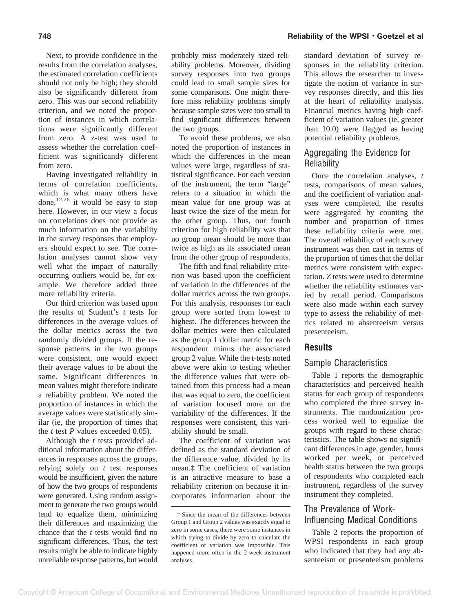Next, to provide confidence in the results from the correlation analyses, the estimated correlation coefficients should not only be high; they should also be significantly different from zero. This was our second reliability criterion, and we noted the proportion of instances in which correlations were significantly different from zero. A z-test was used to assess whether the correlation coefficient was significantly different from zero.

Having investigated reliability in terms of correlation coefficients, which is what many others have done,  $12,26$  it would be easy to stop here. However, in our view a focus on correlations does not provide as much information on the variability in the survey responses that employers should expect to see. The correlation analyses cannot show very well what the impact of naturally occurring outliers would be, for example. We therefore added three more reliability criteria.

Our third criterion was based upon the results of Student's *t* tests for differences in the average values of the dollar metrics across the two randomly divided groups. If the response patterns in the two groups were consistent, one would expect their average values to be about the same. Significant differences in mean values might therefore indicate a reliability problem. We noted the proportion of instances in which the average values were statistically similar (ie, the proportion of times that the *t* test *P* values exceeded 0.05).

Although the *t* tests provided additional information about the differences in responses across the groups, relying solely on *t* test responses would be insufficient, given the nature of how the two groups of respondents were generated. Using random assignment to generate the two groups would tend to equalize them, minimizing their differences and maximizing the chance that the *t* tests would find no significant differences. Thus, the test results might be able to indicate highly unreliable response patterns, but would probably miss moderately sized reliability problems. Moreover, dividing survey responses into two groups could lead to small sample sizes for some comparisons. One might therefore miss reliability problems simply because sample sizes were too small to find significant differences between the two groups.

To avoid these problems, we also noted the proportion of instances in which the differences in the mean values were large, regardless of statistical significance. For each version of the instrument, the term "large" refers to a situation in which the mean value for one group was at least twice the size of the mean for the other group. Thus, our fourth criterion for high reliability was that no group mean should be more than twice as high as its associated mean from the other group of respondents.

The fifth and final reliability criterion was based upon the coefficient of variation in the differences of the dollar metrics across the two groups. For this analysis, responses for each group were sorted from lowest to highest. The differences between the dollar metrics were then calculated as the group 1 dollar metric for each respondent minus the associated group 2 value. While the t-tests noted above were akin to testing whether the difference values that were obtained from this process had a mean that was equal to zero, the coefficient of variation focused more on the variability of the differences. If the responses were consistent, this variability should be small.

The coefficient of variation was defined as the standard deviation of the difference value, divided by its mean.‡ The coefficient of variation is an attractive measure to base a reliability criterion on because it incorporates information about the standard deviation of survey responses in the reliability criterion. This allows the researcher to investigate the notion of variance in survey responses directly, and this lies at the heart of reliability analysis. Financial metrics having high coefficient of variation values (ie, greater than 10.0) were flagged as having potential reliability problems.

# Aggregating the Evidence for **Reliability**

Once the correlation analyses, *t* tests, comparisons of mean values, and the coefficient of variation analyses were completed, the results were aggregated by counting the number and proportion of times these reliability criteria were met. The overall reliability of each survey instrument was then cast in terms of the proportion of times that the dollar metrics were consistent with expectation. *Z* tests were used to determine whether the reliability estimates varied by recall period. Comparisons were also made within each survey type to assess the reliability of metrics related to absenteeism versus presenteeism.

## **Results**

## Sample Characteristics

Table 1 reports the demographic characteristics and perceived health status for each group of respondents who completed the three survey instruments. The randomization process worked well to equalize the groups with regard to these characteristics. The table shows no significant differences in age, gender, hours worked per week, or perceived health status between the two groups of respondents who completed each instrument, regardless of the survey instrument they completed.

# The Prevalence of Work-Influencing Medical Conditions

Table 2 reports the proportion of WPSI respondents in each group who indicated that they had any absenteeism or presenteeism problems

<sup>‡</sup> Since the mean of the differences between Group 1 and Group 2 values was exactly equal to zero in some cases, there were some instances in which trying to divide by zero to calculate the coefficient of variation was impossible. This happened more often in the 2-week instrument analyses.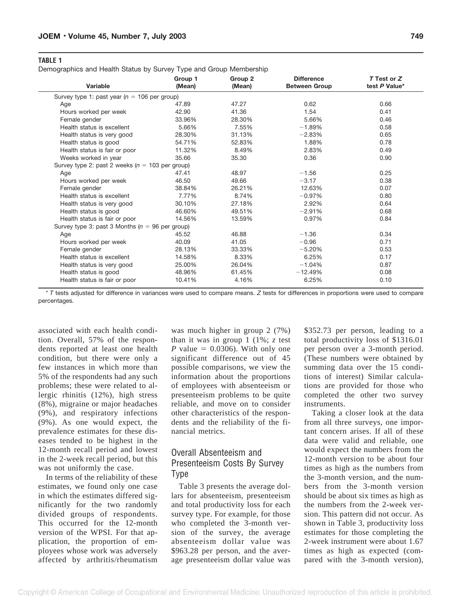#### **TABLE 1**

Demographics and Health Status by Survey Type and Group Membership

| Variable                                           | Group 1<br>(Mean) | Group 2<br>(Mean) | <b>Difference</b><br><b>Between Group</b> | T Test or Z<br>test P Value* |
|----------------------------------------------------|-------------------|-------------------|-------------------------------------------|------------------------------|
| Survey type 1: past year ( $n = 106$ per group)    |                   |                   |                                           |                              |
| Age                                                | 47.89             | 47.27             | 0.62                                      | 0.66                         |
| Hours worked per week                              | 42.90             | 41.36             | 1.54                                      | 0.41                         |
| Female gender                                      | 33.96%            | 28.30%            | 5.66%                                     | 0.46                         |
| Health status is excellent                         | 5.66%             | 7.55%             | $-1.89%$                                  | 0.58                         |
| Health status is very good                         | 28.30%            | 31.13%            | $-2.83%$                                  | 0.65                         |
| Health status is good                              | 54.71%            | 52.83%            | 1.88%                                     | 0.78                         |
| Health status is fair or poor                      | 11.32%            | 8.49%             | 2.83%                                     | 0.49                         |
| Weeks worked in year                               | 35.66             | 35.30             | 0.36                                      | 0.90                         |
| Survey type 2: past 2 weeks ( $n = 103$ per group) |                   |                   |                                           |                              |
| Age                                                | 47.41             | 48.97             | $-1.56$                                   | 0.25                         |
| Hours worked per week                              | 46.50             | 49.66             | $-3.17$                                   | 0.38                         |
| Female gender                                      | 38.84%            | 26.21%            | 12.63%                                    | 0.07                         |
| Health status is excellent                         | 7.77%             | 8.74%             | $-0.97%$                                  | 0.80                         |
| Health status is very good                         | 30.10%            | 27.18%            | 2.92%                                     | 0.64                         |
| Health status is good                              | 46.60%            | 49.51%            | $-2.91%$                                  | 0.68                         |
| Health status is fair or poor                      | 14.56%            | 13.59%            | 0.97%                                     | 0.84                         |
| Survey type 3: past 3 Months ( $n = 96$ per group) |                   |                   |                                           |                              |
| Age                                                | 45.52             | 46.88             | $-1.36$                                   | 0.34                         |
| Hours worked per week                              | 40.09             | 41.05             | $-0.96$                                   | 0.71                         |
| Female gender                                      | 28.13%            | 33.33%            | $-5.20%$                                  | 0.53                         |
| Health status is excellent                         | 14.58%            | 8.33%             | 6.25%                                     | 0.17                         |
| Health status is very good                         | 25.00%            | 26.04%            | $-1.04%$                                  | 0.87                         |
| Health status is good                              | 48.96%            | 61.45%            | $-12.49%$                                 | 0.08                         |
| Health status is fair or poor                      | 10.41%            | 4.16%             | 6.25%                                     | 0.10                         |

\* *T* tests adjusted for difference in variances were used to compare means. *Z* tests for differences in proportions were used to compare percentages.

associated with each health condition. Overall, 57% of the respondents reported at least one health condition, but there were only a few instances in which more than 5% of the respondents had any such problems; these were related to allergic rhinitis (12%), high stress (8%), migraine or major headaches (9%), and respiratory infections (9%). As one would expect, the prevalence estimates for these diseases tended to be highest in the 12-month recall period and lowest in the 2-week recall period, but this was not uniformly the case.

In terms of the reliability of these estimates, we found only one case in which the estimates differed significantly for the two randomly divided groups of respondents. This occurred for the 12-month version of the WPSI. For that application, the proportion of employees whose work was adversely affected by arthritis/rheumatism was much higher in group 2 (7%) than it was in group 1 (1%; *z* test *P* value =  $0.0306$ ). With only one significant difference out of 45 possible comparisons, we view the information about the proportions of employees with absenteeism or presenteeism problems to be quite reliable, and move on to consider other characteristics of the respondents and the reliability of the financial metrics.

# Overall Absenteeism and Presenteeism Costs By Survey Type

Table 3 presents the average dollars for absenteeism, presenteeism and total productivity loss for each survey type. For example, for those who completed the 3-month version of the survey, the average absenteeism dollar value was \$963.28 per person, and the average presenteeism dollar value was \$352.73 per person, leading to a total productivity loss of \$1316.01 per person over a 3-month period. (These numbers were obtained by summing data over the 15 conditions of interest) Similar calculations are provided for those who completed the other two survey instruments.

Taking a closer look at the data from all three surveys, one important concern arises. If all of these data were valid and reliable, one would expect the numbers from the 12-month version to be about four times as high as the numbers from the 3-month version, and the numbers from the 3-month version should be about six times as high as the numbers from the 2-week version. This pattern did not occur. As shown in Table 3, productivity loss estimates for those completing the 2-week instrument were about 1.67 times as high as expected (compared with the 3-month version),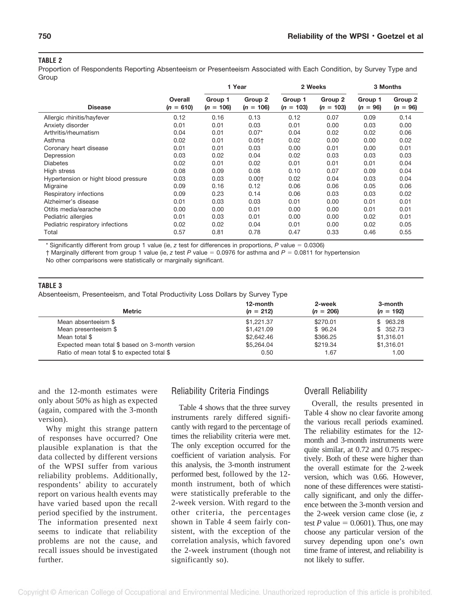#### **TABLE 2**

Proportion of Respondents Reporting Absenteeism or Presenteeism Associated with Each Condition, by Survey Type and Group

|                                      |                        | 1 Year                 |                        |                        | 2 Weeks                |                       | 3 Months              |
|--------------------------------------|------------------------|------------------------|------------------------|------------------------|------------------------|-----------------------|-----------------------|
| <b>Disease</b>                       | Overall<br>$(n = 610)$ | Group 1<br>$(n = 106)$ | Group 2<br>$(n = 106)$ | Group 1<br>$(n = 103)$ | Group 2<br>$(n = 103)$ | Group 1<br>$(n = 96)$ | Group 2<br>$(n = 96)$ |
| Allergic rhinitis/hayfever           | 0.12                   | 0.16                   | 0.13                   | 0.12                   | 0.07                   | 0.09                  | 0.14                  |
| Anxiety disorder                     | 0.01                   | 0.01                   | 0.03                   | 0.01                   | 0.00                   | 0.03                  | 0.00                  |
| Arthritis/rheumatism                 | 0.04                   | 0.01                   | $0.07*$                | 0.04                   | 0.02                   | 0.02                  | 0.06                  |
| Asthma                               | 0.02                   | 0.01                   | $0.05+$                | 0.02                   | 0.00                   | 0.00                  | 0.02                  |
| Coronary heart disease               | 0.01                   | 0.01                   | 0.03                   | 0.00                   | 0.01                   | 0.00                  | 0.01                  |
| Depression                           | 0.03                   | 0.02                   | 0.04                   | 0.02                   | 0.03                   | 0.03                  | 0.03                  |
| <b>Diabetes</b>                      | 0.02                   | 0.01                   | 0.02                   | 0.01                   | 0.01                   | 0.01                  | 0.04                  |
| High stress                          | 0.08                   | 0.09                   | 0.08                   | 0.10                   | 0.07                   | 0.09                  | 0.04                  |
| Hypertension or hight blood pressure | 0.03                   | 0.03                   | 0.001                  | 0.02                   | 0.04                   | 0.03                  | 0.04                  |
| Migraine                             | 0.09                   | 0.16                   | 0.12                   | 0.06                   | 0.06                   | 0.05                  | 0.06                  |
| Respiratory infections               | 0.09                   | 0.23                   | 0.14                   | 0.06                   | 0.03                   | 0.03                  | 0.02                  |
| Alzheimer's disease                  | 0.01                   | 0.03                   | 0.03                   | 0.01                   | 0.00                   | 0.01                  | 0.01                  |
| Otitis media/earache                 | 0.00                   | 0.00                   | 0.01                   | 0.00                   | 0.00                   | 0.01                  | 0.01                  |
| Pediatric allergies                  | 0.01                   | 0.03                   | 0.01                   | 0.00                   | 0.00                   | 0.02                  | 0.01                  |
| Pediatric respiratory infections     | 0.02                   | 0.02                   | 0.04                   | 0.01                   | 0.00                   | 0.02                  | 0.05                  |
| Total                                | 0.57                   | 0.81                   | 0.78                   | 0.47                   | 0.33                   | 0.46                  | 0.55                  |

\* Significantly different from group 1 value (ie, *z* test for differences in proportions, *P* value - 0.0306)

† Marginally different from group 1 value (ie, *z* test P value = 0.0976 for asthma and P = 0.0811 for hypertension

No other comparisons were statistically or marginally significant.

#### **TABLE 3**

Absenteeism, Presenteeism, and Total Productivity Loss Dollars by Survey Type

| <b>Metric</b>                                   | 12-month<br>$(n = 212)$ | 2-week<br>$(n = 206)$ | 3-month<br>$(n = 192)$ |
|-------------------------------------------------|-------------------------|-----------------------|------------------------|
| Mean absenteeism \$                             | \$1.221.37              | \$270.01              | \$963.28               |
| Mean presenteeism \$                            | \$1,421.09              | \$96.24               | \$352.73               |
| Mean total \$                                   | \$2,642.46              | \$366.25              | \$1,316.01             |
| Expected mean total \$ based on 3-month version | \$5,264.04              | \$219.34              | \$1,316.01             |
| Ratio of mean total \$ to expected total \$     | 0.50                    | 1.67                  | 1.00                   |

and the 12-month estimates were only about 50% as high as expected (again, compared with the 3-month version).

Why might this strange pattern of responses have occurred? One plausible explanation is that the data collected by different versions of the WPSI suffer from various reliability problems. Additionally, respondents' ability to accurately report on various health events may have varied based upon the recall period specified by the instrument. The information presented next seems to indicate that reliability problems are not the cause, and recall issues should be investigated further.

#### Reliability Criteria Findings

Table 4 shows that the three survey instruments rarely differed significantly with regard to the percentage of times the reliability criteria were met. The only exception occurred for the coefficient of variation analysis. For this analysis, the 3-month instrument performed best, followed by the 12 month instrument, both of which were statistically preferable to the 2-week version. With regard to the other criteria, the percentages shown in Table 4 seem fairly consistent, with the exception of the correlation analysis, which favored the 2-week instrument (though not significantly so).

## Overall Reliability

Overall, the results presented in Table 4 show no clear favorite among the various recall periods examined. The reliability estimates for the 12 month and 3-month instruments were quite similar, at 0.72 and 0.75 respectively. Both of these were higher than the overall estimate for the 2-week version, which was 0.66. However, none of these differences were statistically significant, and only the difference between the 3-month version and the 2-week version came close (ie, *z* test  $P$  value  $= 0.0601$ ). Thus, one may choose any particular version of the survey depending upon one's own time frame of interest, and reliability is not likely to suffer.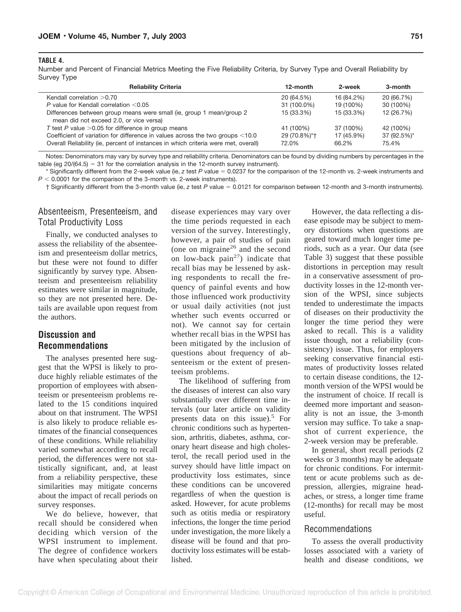#### **TABLE 4.**

Number and Percent of Financial Metrics Meeting the Five Reliability Criteria, by Survey Type and Overall Reliability by Survey Type

| <b>Reliability Criteria</b>                                                                                                                                         | 12-month              | 2-week              | 3-month              |
|---------------------------------------------------------------------------------------------------------------------------------------------------------------------|-----------------------|---------------------|----------------------|
| Kendall correlation $>0.70$                                                                                                                                         | 20 (64.5%)            | 16 (84.2%)          | 20 (66.7%)           |
| P value for Kendall correlation $< 0.05$                                                                                                                            | 31 (100.0%)           | 19 (100%)           | 30 (100%)            |
| Differences between group means were small (ie, group 1 mean/group 2<br>mean did not exceed 2.0, or vice versa)                                                     | 15 (33.3%)            | 15 (33.3%)          | 12 (26.7%)           |
| T test P value $>0.05$ for difference in group means                                                                                                                | 41 (100%)             | 37 (100%)           | 42 (100%)            |
| Coefficient of variation for difference in values across the two groups <10.0<br>Overall Reliability (ie, percent of instances in which criteria were met, overall) | 29 (70.8%)*†<br>72.0% | 17 (45.9%)<br>66.2% | 37 (92.5%)*<br>75.4% |

Notes: Denominators may vary by survey type and reliability criteria. Denominators can be found by dividing numbers by percentages in the table (eg  $20/(64.5) = 31$  for the correlation analysis in the 12-month survey instrument).

\* Significantly different from the 2-week value (ie, *z* test *P* value - 0.0237 for the comparison of the 12-month vs. 2-week instruments and  $P < 0.0001$  for the comparison of the 3-month vs. 2-week instruments).

† Significantly different from the 3-month value (ie, *z* test *P* value - 0.0121 for comparison between 12-month and 3-month instruments).

# Absenteeism, Presenteeism, and Total Productivity Loss

Finally, we conducted analyses to assess the reliability of the absenteeism and presenteeism dollar metrics, but these were not found to differ significantly by survey type. Absenteeism and presenteeism reliability estimates were similar in magnitude, so they are not presented here. Details are available upon request from the authors.

# **Discussion and Recommendations**

The analyses presented here suggest that the WPSI is likely to produce highly reliable estimates of the proportion of employees with absenteeism or presenteeism problems related to the 15 conditions inquired about on that instrument. The WPSI is also likely to produce reliable estimates of the financial consequences of these conditions. While reliability varied somewhat according to recall period, the differences were not statistically significant, and, at least from a reliability perspective, these similarities may mitigate concerns about the impact of recall periods on survey responses.

We do believe, however, that recall should be considered when deciding which version of the WPSI instrument to implement. The degree of confidence workers have when speculating about their disease experiences may vary over the time periods requested in each version of the survey. Interestingly, however, a pair of studies of pain (one on migraine<sup>26</sup> and the second on low-back pain<sup>27</sup>) indicate that recall bias may be lessened by asking respondents to recall the frequency of painful events and how those influenced work productivity or usual daily activities (not just whether such events occurred or not). We cannot say for certain whether recall bias in the WPSI has been mitigated by the inclusion of questions about frequency of absenteeism or the extent of presenteeism problems.

The likelihood of suffering from the diseases of interest can also vary substantially over different time intervals (our later article on validity presents data on this issue).<sup>5</sup> For chronic conditions such as hypertension, arthritis, diabetes, asthma, coronary heart disease and high cholesterol, the recall period used in the survey should have little impact on productivity loss estimates, since these conditions can be uncovered regardless of when the question is asked. However, for acute problems such as otitis media or respiratory infections, the longer the time period under investigation, the more likely a disease will be found and that productivity loss estimates will be established.

However, the data reflecting a disease episode may be subject to memory distortions when questions are geared toward much longer time periods, such as a year. Our data (see Table 3) suggest that these possible distortions in perception may result in a conservative assessment of productivity losses in the 12-month version of the WPSI, since subjects tended to underestimate the impacts of diseases on their productivity the longer the time period they were asked to recall. This is a validity issue though, not a reliability (consistency) issue. Thus, for employers seeking conservative financial estimates of productivity losses related to certain disease conditions, the 12 month version of the WPSI would be the instrument of choice. If recall is deemed more important and seasonality is not an issue, the 3-month version may suffice. To take a snapshot of current experience, the 2-week version may be preferable.

In general, short recall periods (2 weeks or 3 months) may be adequate for chronic conditions. For intermittent or acute problems such as depression, allergies, migraine headaches, or stress, a longer time frame (12-months) for recall may be most useful.

#### Recommendations

To assess the overall productivity losses associated with a variety of health and disease conditions, we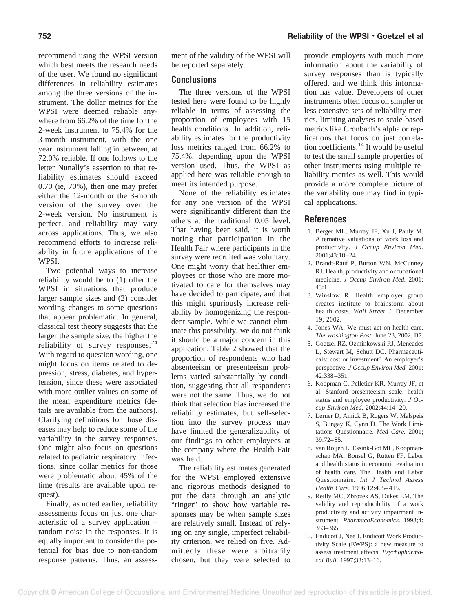recommend using the WPSI version which best meets the research needs of the user. We found no significant differences in reliability estimates among the three versions of the instrument. The dollar metrics for the WPSI were deemed reliable anywhere from 66.2% of the time for the 2-week instrument to 75.4% for the 3-month instrument, with the one year instrument falling in between, at 72.0% reliable. If one follows to the letter Nunally's assertion to that reliability estimates should exceed 0.70 (ie, 70%), then one may prefer either the 12-month or the 3-month version of the survey over the 2-week version. No instrument is perfect, and reliability may vary across applications. Thus, we also recommend efforts to increase reliability in future applications of the WPSI.

Two potential ways to increase reliability would be to (1) offer the WPSI in situations that produce larger sample sizes and (2) consider wording changes to some questions that appear problematic. In general, classical test theory suggests that the larger the sample size, the higher the reliability of survey responses.<sup>24</sup> With regard to question wording, one might focus on items related to depression, stress, diabetes, and hypertension, since these were associated with more outlier values on some of the mean expenditure metrics (details are available from the authors). Clarifying definitions for those diseases may help to reduce some of the variability in the survey responses. One might also focus on questions related to pediatric respiratory infections, since dollar metrics for those were problematic about 45% of the time (results are available upon request).

Finally, as noted earlier, reliability assessments focus on just one characteristic of a survey application – random noise in the responses. It is equally important to consider the potential for bias due to non-random response patterns. Thus, an assessment of the validity of the WPSI will be reported separately.

#### **Conclusions**

The three versions of the WPSI tested here were found to be highly reliable in terms of assessing the proportion of employees with 15 health conditions. In addition, reliability estimates for the productivity loss metrics ranged from 66.2% to 75.4%, depending upon the WPSI version used. Thus, the WPSI as applied here was reliable enough to meet its intended purpose.

None of the reliability estimates for any one version of the WPSI were significantly different than the others at the traditional 0.05 level. That having been said, it is worth noting that participation in the Health Fair where participants in the survey were recruited was voluntary. One might worry that healthier employees or those who are more motivated to care for themselves may have decided to participate, and that this might spuriously increase reliability by homogenizing the respondent sample. While we cannot eliminate this possibility, we do not think it should be a major concern in this application. Table 2 showed that the proportion of respondents who had absenteeism or presenteeism problems varied substantially by condition, suggesting that all respondents were not the same. Thus, we do not think that selection bias increased the reliability estimates, but self-selection into the survey process may have limited the generalizability of our findings to other employees at the company where the Health Fair was held.

The reliability estimates generated for the WPSI employed extensive and rigorous methods designed to put the data through an analytic "ringer" to show how variable responses may be when sample sizes are relatively small. Instead of relying on any single, imperfect reliability criterion, we relied on five. Admittedly these were arbitrarily chosen, but they were selected to

provide employers with much more information about the variability of survey responses than is typically offered, and we think this information has value. Developers of other instruments often focus on simpler or less extensive sets of reliability metrics, limiting analyses to scale-based metrics like Cronbach's alpha or replications that focus on just correlation coefficients. $^{14}$  It would be useful to test the small sample properties of other instruments using multiple reliability metrics as well. This would provide a more complete picture of the variability one may find in typical applications.

#### **References**

- 1. Berger ML, Murray JF, Xu J, Pauly M. Alternative valuations of work loss and productivity. *J Occup Environ Med.* 2001;43:18–24.
- 2. Brandt-Rauf P, Burton WN, McCunney RJ. Health, productivity and occupational medicine. *J Occup Environ Med.* 2001; 43:1.
- 3. Winslow R. Health employer group creates institute to brainstorm about health costs. *Wall Street J.* December 19, 2002.
- 4. Jones WA. We must act on health care. *The Washington Post.* June 23, 2002, B7.
- 5. Goetzel RZ, Ozminkowski RJ, Meneades L, Stewart M, Schutt DC. Pharmaceuticals: cost or investment? An employer's perspective. *J Occup Environ Med.* 2001; 42:338–351.
- 6. Koopman C, Pelletier KR, Murray JF, et al. Stanford presenteeism scale: health status and employee productivity. *J Occup Environ Med.* 2002;44:14–20.
- 7. Lerner D, Amick B, Rogers W, Malspeis S, Bungay K, Cynn D. The Work Limitations Questionnaire. *Med Care.* 2001;  $39.72 - 85$
- 8. van Roijen L, Essink-Bot ML, Koopmanschap MA, Bonsel G, Rutten FF. Labor and health status in economic evaluation of health care. The Health and Labor Questionnaire. *Int J Technol Assess Health Care.* 1996;12:405–415.
- 9. Reilly MC, Zbrozek AS, Dukes EM. The validity and reproducibility of a work productivity and activity impairment instrument. *PharmacoEconomics.* 1993;4: 353–365.
- 10. Endicott J, Nee J. Endicott Work Productivity Scale (EWPS): a new measure to assess treatment effects. *Psychopharmacol Bull.* 1997;33:13–16.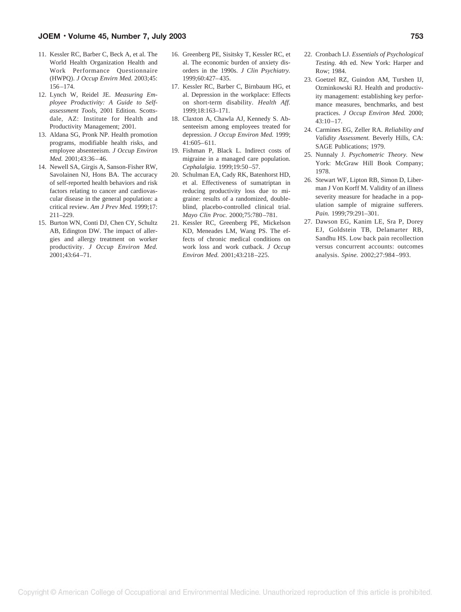#### **JOEM** • **Volume 45, Number 7, July 2003 753**

- 11. Kessler RC, Barber C, Beck A, et al. The World Health Organization Health and Work Performance Questionnaire (HWPQ). *J Occup Envirn Med.* 2003;45: 156–174.
- 12. Lynch W, Reidel JE. *Measuring Employee Productivity: A Guide to Selfassessment Tools*, 2001 Edition. Scottsdale, AZ: Institute for Health and Productivity Management; 2001.
- 13. Aldana SG, Pronk NP. Health promotion programs, modifiable health risks, and employee absenteeism. *J Occup Environ Med.* 2001;43:36–46.
- 14. Newell SA, Girgis A, Sanson-Fisher RW, Savolainen NJ, Hons BA. The accuracy of self-reported health behaviors and risk factors relating to cancer and cardiovascular disease in the general population: a critical review. *Am J Prev Med.* 1999;17: 211–229.
- 15. Burton WN, Conti DJ, Chen CY, Schultz AB, Edington DW. The impact of allergies and allergy treatment on worker productivity. *J Occup Environ Med.* 2001;43:64–71.
- 16. Greenberg PE, Sisitsky T, Kessler RC, et al. The economic burden of anxiety disorders in the 1990s. *J Clin Psychiatry.* 1999;60:427–435.
- 17. Kessler RC, Barber C, Birnbaum HG, et al. Depression in the workplace: Effects on short-term disability. *Health Aff.* 1999;18:163–171.
- 18. Claxton A, Chawla AJ, Kennedy S. Absenteeism among employees treated for depression. *J Occup Environ Med.* 1999; 41:605–611.
- 19. Fishman P, Black L. Indirect costs of migraine in a managed care population. *Cephalalgia.* 1999;19:50–57.
- 20. Schulman EA, Cady RK, Batenhorst HD, et al. Effectiveness of sumatriptan in reducing productivity loss due to migraine: results of a randomized, doubleblind, placebo-controlled clinical trial. *Mayo Clin Proc.* 2000;75:780–781.
- 21. Kessler RC, Greenberg PE, Mickelson KD, Meneades LM, Wang PS. The effects of chronic medical conditions on work loss and work cutback. *J Occup Environ Med.* 2001;43:218–225.
- 22. Cronbach LJ. *Essentials of Psychological Testing.* 4th ed. New York: Harper and Row; 1984.
- 23. Goetzel RZ, Guindon AM, Turshen IJ, Ozminkowski RJ. Health and productivity management: establishing key performance measures, benchmarks, and best practices. *J Occup Environ Med.* 2000; 43:10–17.
- 24. Carmines EG, Zeller RA. *Reliability and Validity Assessment.* Beverly Hills, CA: SAGE Publications; 1979.
- 25. Nunnaly J. *Psychometric Theory.* New York: McGraw Hill Book Company; 1978.
- 26. Stewart WF, Lipton RB, Simon D, Liberman J Von Korff M. Validity of an illness severity measure for headache in a population sample of migraine sufferers. *Pain.* 1999;79:291–301.
- 27. Dawson EG, Kanim LE, Sra P, Dorey EJ, Goldstein TB, Delamarter RB, Sandhu HS. Low back pain recollection versus concurrent accounts: outcomes analysis. *Spine.* 2002;27:984 –993.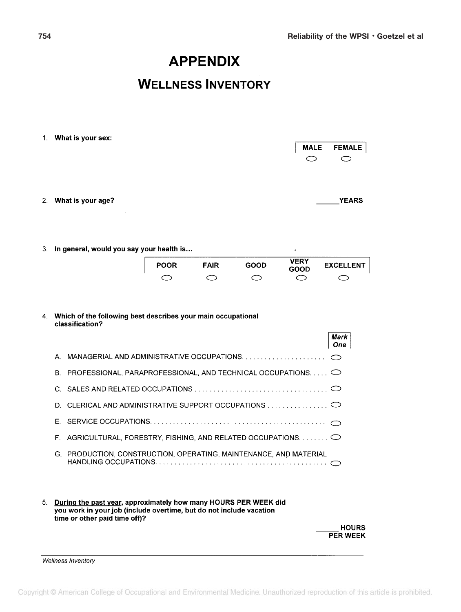# **APPENDIX**

# **WELLNESS INVENTORY**

|    | 1. What is your sex:                                                                                                                   |             |             |             | <b>MALE</b>                | FEMALE           |
|----|----------------------------------------------------------------------------------------------------------------------------------------|-------------|-------------|-------------|----------------------------|------------------|
|    |                                                                                                                                        |             |             |             |                            |                  |
|    |                                                                                                                                        |             |             |             |                            |                  |
|    |                                                                                                                                        |             |             |             |                            |                  |
|    | 2. What is your age?                                                                                                                   |             |             |             |                            | <b>YEARS</b>     |
|    |                                                                                                                                        |             |             |             |                            |                  |
|    |                                                                                                                                        |             |             |             |                            |                  |
| З. | In general, would you say your health is                                                                                               |             |             |             |                            |                  |
|    |                                                                                                                                        | <b>POOR</b> | <b>FAIR</b> | <b>GOOD</b> | <b>VERY</b><br><b>GOOD</b> | <b>EXCELLENT</b> |
|    |                                                                                                                                        |             |             |             | ⌒                          |                  |
|    |                                                                                                                                        |             |             |             |                            |                  |
| 4. | Which of the following best describes your main occupational                                                                           |             |             |             |                            |                  |
|    | classification?                                                                                                                        |             |             |             |                            | Mark             |
|    |                                                                                                                                        |             |             |             |                            | <b>One</b>       |
|    | А.                                                                                                                                     |             |             |             |                            | ◯                |
|    | PROFESSIONAL, PARAPROFESSIONAL, AND TECHNICAL OCCUPATIONS. $\circlearrowright$<br>В.                                                   |             |             |             |                            |                  |
|    |                                                                                                                                        |             |             |             |                            | C)               |
|    | D.                                                                                                                                     |             |             |             |                            |                  |
|    | Е.                                                                                                                                     |             |             |             |                            |                  |
|    | F.<br>AGRICULTURAL, FORESTRY, FISHING, AND RELATED OCCUPATIONS. $\circ$                                                                |             |             |             |                            |                  |
|    | G. PRODUCTION, CONSTRUCTION, OPERATING, MAINTENANCE, AND MATERIAL                                                                      |             |             |             |                            |                  |
|    |                                                                                                                                        |             |             |             |                            |                  |
|    |                                                                                                                                        |             |             |             |                            |                  |
| 5. | During the past year, approximately how many HOURS PER WEEK did<br>you work in your job (include overtime, but do not include vacation |             |             |             |                            |                  |

time or other paid time off)?

**HOURS PER WEEK** 

Wellness Inventory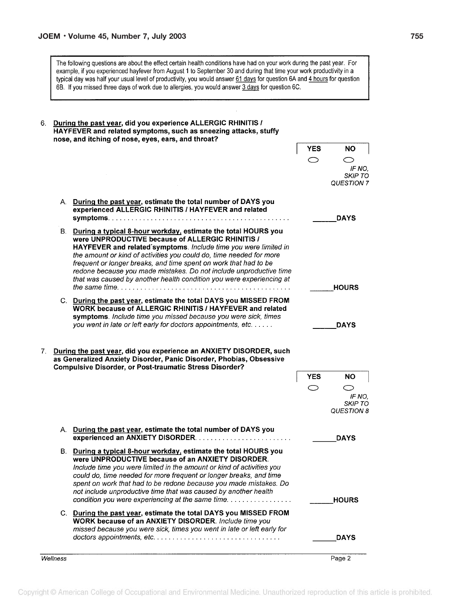The following questions are about the effect certain health conditions have had on your work during the past year. For example, if you experienced hayfever from August 1 to September 30 and during that time your work productivity in a typical day was half your usual level of productivity, you would answer 61 days for question 6A and 4 hours for question 6B. If you missed three days of work due to allergies, you would answer 3 days for question 6C.

|    |          | nose, and itching of nose, eyes, ears, and throat?                                                                                                                                                                                                                                                                                                                                                                                                                                      | <b>YES</b>              | <b>NO</b>                                    |
|----|----------|-----------------------------------------------------------------------------------------------------------------------------------------------------------------------------------------------------------------------------------------------------------------------------------------------------------------------------------------------------------------------------------------------------------------------------------------------------------------------------------------|-------------------------|----------------------------------------------|
|    |          |                                                                                                                                                                                                                                                                                                                                                                                                                                                                                         | ⊂⊇                      |                                              |
|    |          |                                                                                                                                                                                                                                                                                                                                                                                                                                                                                         |                         | IF NO.                                       |
|    |          |                                                                                                                                                                                                                                                                                                                                                                                                                                                                                         |                         | <b>SKIP TO</b><br>QUESTION 7                 |
|    |          | A. During the past year, estimate the total number of DAYS you<br>experienced ALLERGIC RHINITIS / HAYFEVER and related                                                                                                                                                                                                                                                                                                                                                                  |                         |                                              |
|    |          |                                                                                                                                                                                                                                                                                                                                                                                                                                                                                         |                         | <b>DAYS</b>                                  |
|    |          | B. During a typical 8-hour workday, estimate the total HOURS you<br><b>Were UNPRODUCTIVE because of ALLERGIC RHINITIS /</b><br>HAYFEVER and related symptoms. Include time you were limited in<br>the amount or kind of activities you could do, time needed for more<br>frequent or longer breaks, and time spent on work that had to be<br>redone because you made mistakes. Do not include unproductive time<br>that was caused by another health condition you were experiencing at |                         | <b>HOURS</b>                                 |
|    |          | C. During the past year, estimate the total DAYS you MISSED FROM<br>WORK because of ALLERGIC RHINITIS / HAYFEVER and related<br>symptoms. Include time you missed because you were sick, times<br>you went in late or left early for doctors appointments, etc.                                                                                                                                                                                                                         |                         | <b>DAYS</b>                                  |
| 7. |          | During the past year, did you experience an ANXIETY DISORDER, such<br>as Generalized Anxiety Disorder, Panic Disorder, Phobias, Obsessive<br><b>Compulsive Disorder, or Post-traumatic Stress Disorder?</b>                                                                                                                                                                                                                                                                             | <b>YES</b><br>$\subset$ | NΟ<br>IF NO.<br><b>SKIP TO</b><br>QUESTION 8 |
|    |          | A. During the past year, estimate the total number of DAYS you<br>experienced an ANXIETY DISORDER.                                                                                                                                                                                                                                                                                                                                                                                      |                         | <b>DAYS</b>                                  |
|    |          | B. During a typical 8-hour workday, estimate the total HOURS you<br>were UNPRODUCTIVE because of an ANXIETY DISORDER.<br>Include time you were limited in the amount or kind of activities you<br>could do, time needed for more frequent or longer breaks, and time<br>spent on work that had to be redone because you made mistakes. Do<br>not include unproductive time that was caused by another health                                                                            |                         |                                              |
|    |          | condition you were experiencing at the same time                                                                                                                                                                                                                                                                                                                                                                                                                                        |                         | <b>HOURS</b>                                 |
|    |          | C. During the past year, estimate the total DAYS you MISSED FROM<br>WORK because of an ANXIETY DISORDER. Include time you<br>missed because you were sick, times you went in late or left early for                                                                                                                                                                                                                                                                                     |                         |                                              |
|    |          |                                                                                                                                                                                                                                                                                                                                                                                                                                                                                         |                         | <b>DAYS</b>                                  |
|    |          |                                                                                                                                                                                                                                                                                                                                                                                                                                                                                         |                         |                                              |
|    | Wellness |                                                                                                                                                                                                                                                                                                                                                                                                                                                                                         |                         | Page 2                                       |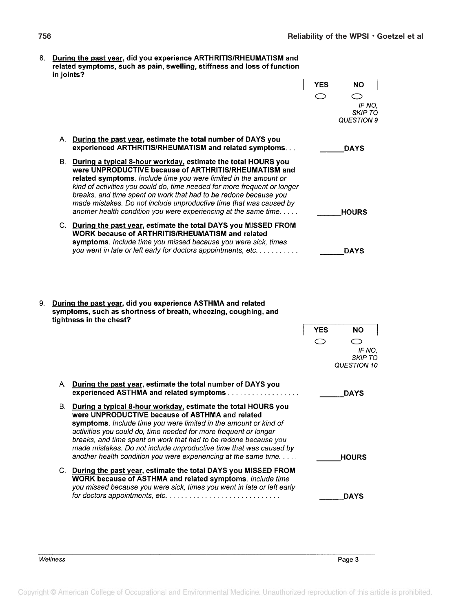During the past year, did you experience ARTHRITIS/RHEUMATISM and<br>related symptoms, such as pain, swelling, stiffness and loss of function  $8.$ in joints?

|                                                                                                                                                                                                                                                                                                                                                                                                                                                                                         | <b>YES</b> | NΟ                            |
|-----------------------------------------------------------------------------------------------------------------------------------------------------------------------------------------------------------------------------------------------------------------------------------------------------------------------------------------------------------------------------------------------------------------------------------------------------------------------------------------|------------|-------------------------------|
|                                                                                                                                                                                                                                                                                                                                                                                                                                                                                         |            |                               |
|                                                                                                                                                                                                                                                                                                                                                                                                                                                                                         |            | IF NO.<br><b>SKIPTO</b>       |
|                                                                                                                                                                                                                                                                                                                                                                                                                                                                                         |            | QUESTION 9                    |
| A. During the past year, estimate the total number of DAYS you<br>experienced ARTHRITIS/RHEUMATISM and related symptoms                                                                                                                                                                                                                                                                                                                                                                 |            | <b>DAYS</b>                   |
| B. During a typical 8-hour workday, estimate the total HOURS you<br>were UNPRODUCTIVE because of ARTHRITIS/RHEUMATISM and<br>related symptoms. Include time you were limited in the amount or<br>kind of activities you could do, time needed for more frequent or longer<br>breaks, and time spent on work that had to be redone because you<br>made mistakes. Do not include unproductive time that was caused by<br>another health condition you were experiencing at the same time. |            | <b>HOURS</b>                  |
| C. During the past year, estimate the total DAYS you MISSED FROM                                                                                                                                                                                                                                                                                                                                                                                                                        |            |                               |
| WORK because of ARTHRITIS/RHEUMATISM and related<br>symptoms. Include time you missed because you were sick, times<br>you went in late or left early for doctors appointments, etc                                                                                                                                                                                                                                                                                                      |            | <b>DAYS</b>                   |
| During the past year, did you experience ASTHMA and related<br>symptoms, such as shortness of breath, wheezing, coughing, and<br>tightness in the chest?                                                                                                                                                                                                                                                                                                                                | YES<br>⌒   | <b>NO</b><br>IF NO.           |
|                                                                                                                                                                                                                                                                                                                                                                                                                                                                                         |            | <b>SKIP TO</b><br>QUESTION 10 |
| A. During the past year, estimate the total number of DAYS you<br>experienced ASTHMA and related symptoms                                                                                                                                                                                                                                                                                                                                                                               |            | <b>DAYS</b>                   |
| B. During a typical 8-hour workday, estimate the total HOURS you<br>were UNPRODUCTIVE because of ASTHMA and related<br>symptoms. Include time you were limited in the amount or kind of<br>activities you could do, time needed for more frequent or longer<br>breaks, and time spent on work that had to be redone because you<br>made mistakes. Do not include unproductive time that was caused by<br>another health condition you were experiencing at the same time.               |            | <b>HOURS</b>                  |
| C. During the past year, estimate the total DAYS you MISSED FROM<br>WORK because of ASTHMA and related symptoms. Include time<br>you missed because you were sick, times you went in late or left early                                                                                                                                                                                                                                                                                 |            |                               |
|                                                                                                                                                                                                                                                                                                                                                                                                                                                                                         |            | <b>DAYS</b>                   |

Page 3

9.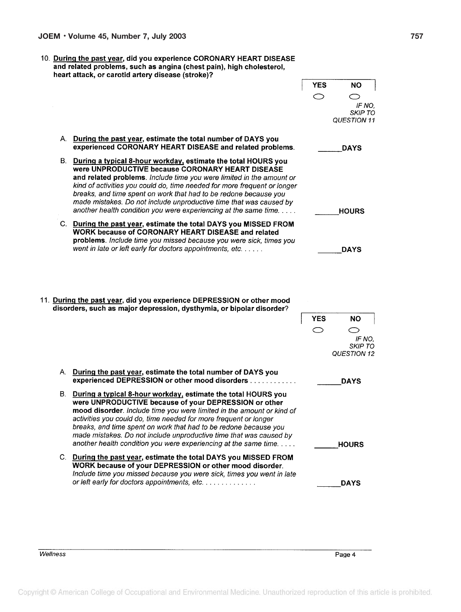- 10. During the past year, did you experience CORONARY HEART DISEASE and related problems, such as angina (chest pain), high cholesterol, heart attack, or carotid artery disease (stroke)?
- **YES NO** ◯ ◯ IF NO. **SKIPTO** QUESTION 11 A. During the past year, estimate the total number of DAYS you experienced CORONARY HEART DISEASE and related problems. **DAYS** B. During a typical 8-hour workday, estimate the total HOURS you were UNPRODUCTIVE because CORONARY HEART DISEASE and related problems. Include time you were limited in the amount or kind of activities you could do, time needed for more frequent or longer breaks, and time spent on work that had to be redone because you made mistakes. Do not include unproductive time that was caused by another health condition you were experiencing at the same time..... **HOURS** C. During the past year, estimate the total DAYS you MISSED FROM **WORK because of CORONARY HEART DISEASE and related** problems. Include time you missed because you were sick, times you went in late or left early for doctors appointments, etc. . . . . . **DAYS** 11. During the past year, did you experience DEPRESSION or other mood disorders, such as major depression, dysthymia, or bipolar disorder? **YES NO**  $\bigcirc$ ⌒ IF NO. **SKIPTO** QUESTION 12 A. During the past year, estimate the total number of DAYS you experienced DEPRESSION or other mood disorders . . . . . . **DAYS** B. During a typical 8-hour workday, estimate the total HOURS you were UNPRODUCTIVE because of your DEPRESSION or other mood disorder. Include time you were limited in the amount or kind of activities you could do, time needed for more frequent or longer breaks, and time spent on work that had to be redone because you made mistakes. Do not include unproductive time that was caused by another health condition you were experiencing at the same time. . . . . **HOURS** C. During the past year, estimate the total DAYS you MISSED FROM WORK because of your DEPRESSION or other mood disorder. Include time you missed because you were sick, times you went in late or left early for doctors appointments, etc. . . . . . . . . . . . . . **DAYS**

Wellness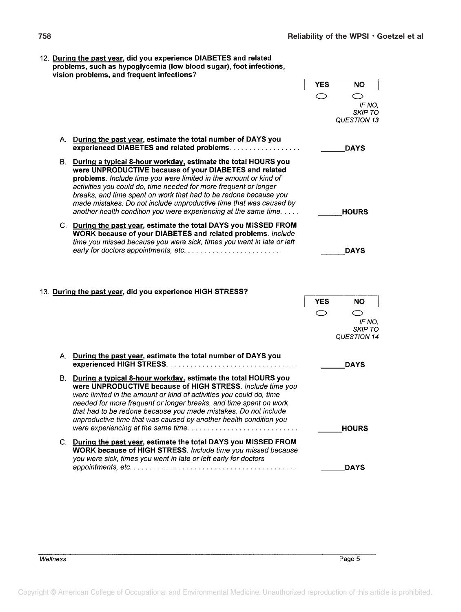12. During the past year, did you experience DIABETES and related puting the past year, and you experience DIABLTLS and related<br>problems, such as hypoglycemia (low blood sugar), foot infections,<br>vision problems, and frequent infections?

| vision problems, and frequent imections?                                                                                                                                                                                                                                                                                                                                                                                                                                         | YES<br>⌒ | <b>NO</b>                              |
|----------------------------------------------------------------------------------------------------------------------------------------------------------------------------------------------------------------------------------------------------------------------------------------------------------------------------------------------------------------------------------------------------------------------------------------------------------------------------------|----------|----------------------------------------|
|                                                                                                                                                                                                                                                                                                                                                                                                                                                                                  |          | IF NO.<br><b>SKIPTO</b><br>QUESTION 13 |
| A. During the past year, estimate the total number of DAYS you<br>experienced DIABETES and related problems.                                                                                                                                                                                                                                                                                                                                                                     |          | <b>DAYS</b>                            |
| B. During a typical 8-hour workday, estimate the total HOURS you<br>were UNPRODUCTIVE because of your DIABETES and related<br>problems. Include time you were limited in the amount or kind of<br>activities you could do, time needed for more frequent or longer<br>breaks, and time spent on work that had to be redone because you<br>made mistakes. Do not include unproductive time that was caused by<br>another health condition you were experiencing at the same time. |          | <b>HOURS</b>                           |
| C. During the past year, estimate the total DAYS you MISSED FROM<br><b>WORK because of your DIABETES and related problems</b> . Include<br>time you missed because you were sick, times you went in late or left                                                                                                                                                                                                                                                                 |          | <b>DAYS</b>                            |
| 13. During the past year, did you experience HIGH STRESS?                                                                                                                                                                                                                                                                                                                                                                                                                        | YES      | <b>NO</b>                              |
|                                                                                                                                                                                                                                                                                                                                                                                                                                                                                  | ⌒        | IF NO.<br><b>SKIPTO</b><br>QUESTION 14 |
| A. During the past year, estimate the total number of DAYS you                                                                                                                                                                                                                                                                                                                                                                                                                   |          | <b>DAYS</b>                            |
| B. During a typical 8-hour workday, estimate the total HOURS you<br>were UNPRODUCTIVE because of HIGH STRESS. Include time you<br>were limited in the amount or kind of activities you could do, time<br>needed for more frequent or longer breaks, and time spent on work<br>that had to be redone because you made mistakes. Do not include<br>unproductive time that was caused by another health condition you<br>were experiencing at the same time                         |          | <b>HOURS</b>                           |
| C. During the past year, estimate the total DAYS you MISSED FROM<br>WORK because of HIGH STRESS. Include time you missed because<br>you were sick, times you went in late or left early for doctors                                                                                                                                                                                                                                                                              |          |                                        |
|                                                                                                                                                                                                                                                                                                                                                                                                                                                                                  |          | <b>DAYS</b>                            |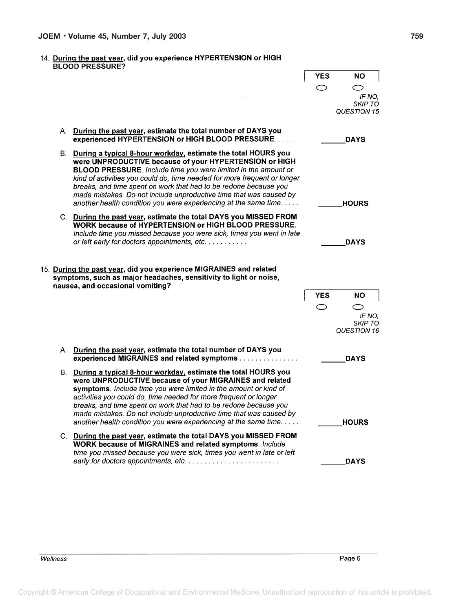#### 14. During the past year, did you experience HYPERTENSION or HIGH **BLOOD PRESSURE?**

|                                                                                                                                                                                                                                                                                                                                                                                                                                                                                        | <b>YES</b>  | <b>NO</b>                              |
|----------------------------------------------------------------------------------------------------------------------------------------------------------------------------------------------------------------------------------------------------------------------------------------------------------------------------------------------------------------------------------------------------------------------------------------------------------------------------------------|-------------|----------------------------------------|
|                                                                                                                                                                                                                                                                                                                                                                                                                                                                                        | $\subset$ . |                                        |
|                                                                                                                                                                                                                                                                                                                                                                                                                                                                                        |             | IF NO.<br><b>SKIPTO</b>                |
|                                                                                                                                                                                                                                                                                                                                                                                                                                                                                        |             | QUESTION 15                            |
| A. During the past year, estimate the total number of DAYS you<br>experienced HYPERTENSION or HIGH BLOOD PRESSURE.                                                                                                                                                                                                                                                                                                                                                                     |             | <b>DAYS</b>                            |
| B. During a typical 8-hour workday, estimate the total HOURS you<br>were UNPRODUCTIVE because of your HYPERTENSION or HIGH<br>BLOOD PRESSURE. Include time you were limited in the amount or<br>kind of activities you could do, time needed for more frequent or longer<br>breaks, and time spent on work that had to be redone because you<br>made mistakes. Do not include unproductive time that was caused by<br>another health condition you were experiencing at the same time. |             | <b>HOURS</b>                           |
| C. During the past year, estimate the total DAYS you MISSED FROM<br><b>WORK because of HYPERTENSION or HIGH BLOOD PRESSURE.</b><br>Include time you missed because you were sick, times you went in late<br>or left early for doctors appointments, etc.                                                                                                                                                                                                                               |             | <b>DAYS</b>                            |
| 15. During the past year, did you experience MIGRAINES and related<br>symptoms, such as major headaches, sensitivity to light or noise,<br>nausea, and occasional vomiting?                                                                                                                                                                                                                                                                                                            |             |                                        |
|                                                                                                                                                                                                                                                                                                                                                                                                                                                                                        | YES         | <b>NO</b>                              |
|                                                                                                                                                                                                                                                                                                                                                                                                                                                                                        | ⌒           |                                        |
|                                                                                                                                                                                                                                                                                                                                                                                                                                                                                        |             | IF NO.<br><b>SKIPTO</b><br>QUESTION 16 |
| A. During the past year, estimate the total number of DAYS you<br>experienced MIGRAINES and related symptoms                                                                                                                                                                                                                                                                                                                                                                           |             | <b>DAYS</b>                            |
| B. During a typical 8-hour workday, estimate the total HOURS you<br>were UNPRODUCTIVE because of your MIGRAINES and related<br>symptoms. Include time you were limited in the amount or kind of<br>activities you could do, time needed for more frequent or longer<br>breaks, and time spent on work that had to be redone because you<br>made mistakes. Do not include unproductive time that was caused by<br>another health condition you were experiencing at the same time.      |             | <b>HOURS</b>                           |
| C. During the past year, estimate the total DAYS you MISSED FROM<br><b>WORK because of MIGRAINES and related symptoms. Include</b><br>time you missed because you were sick, times you went in late or left                                                                                                                                                                                                                                                                            |             |                                        |
|                                                                                                                                                                                                                                                                                                                                                                                                                                                                                        |             | <b>DAYS</b>                            |

Wellness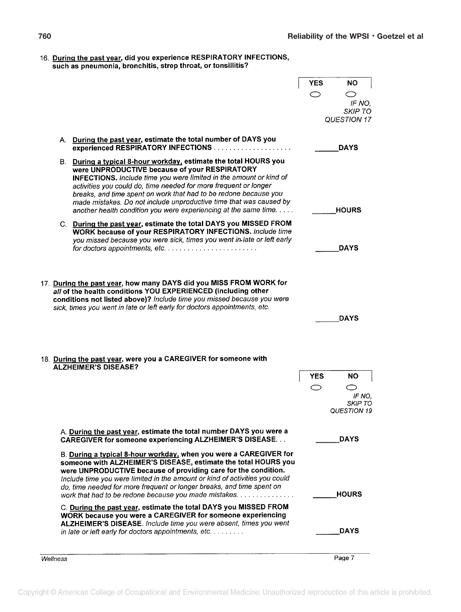16. During the past year, did you experience RESPIRATORY INFECTIONS, such as pneumonia, bronchitis, strep throat, or tonsillitis?

|  |                                                                                                                                                                                                                                                                                                                                                                                                                                                                           | YES | ΝO                                                   |
|--|---------------------------------------------------------------------------------------------------------------------------------------------------------------------------------------------------------------------------------------------------------------------------------------------------------------------------------------------------------------------------------------------------------------------------------------------------------------------------|-----|------------------------------------------------------|
|  |                                                                                                                                                                                                                                                                                                                                                                                                                                                                           |     | IF NO.                                               |
|  |                                                                                                                                                                                                                                                                                                                                                                                                                                                                           |     | <b>SKIPTO</b><br>QUESTION 17                         |
|  | A. During the past year, estimate the total number of DAYS you<br>experienced RESPIRATORY INFECTIONS                                                                                                                                                                                                                                                                                                                                                                      |     | <b>DAYS</b>                                          |
|  | B. During a typical 8-hour workday, estimate the total HOURS you<br>were UNPRODUCTIVE because of your RESPIRATORY<br>INFECTIONS. Include time you were limited in the amount or kind of<br>activities you could do, time needed for more frequent or longer<br>breaks, and time spent on work that had to be redone because you<br>made mistakes. Do not include unproductive time that was caused by<br>another health condition you were experiencing at the same time. |     | <b>HOURS</b>                                         |
|  | C. During the past year, estimate the total DAYS you MISSED FROM<br><b>WORK because of your RESPIRATORY INFECTIONS.</b> Include time<br>you missed because you were sick, times you went in late or left early                                                                                                                                                                                                                                                            |     | <b>DAYS</b>                                          |
|  | 17. During the past year, how many DAYS did you MISS FROM WORK for<br>all of the health conditions YOU EXPERIENCED (including other<br>conditions not listed above)? Include time you missed because you were<br>sick, times you went in late or left early for doctors appointments, etc.                                                                                                                                                                                |     | <b>DAYS</b>                                          |
|  | 18. During the past year, were you a CAREGIVER for someone with<br><b>ALZHEIMER'S DISEASE?</b>                                                                                                                                                                                                                                                                                                                                                                            |     |                                                      |
|  |                                                                                                                                                                                                                                                                                                                                                                                                                                                                           | YES | <b>NO</b><br>IF NO.<br>SKIP TO<br><b>OUESTION 19</b> |
|  | A. During the past year, estimate the total number DAYS you were a<br><b>CAREGIVER for someone experiencing ALZHEIMER'S DISEASE</b>                                                                                                                                                                                                                                                                                                                                       |     | <b>DAYS</b>                                          |
|  | B. During a typical 8-hour workday, when you were a CAREGIVER for<br>someone with ALZHEIMER'S DISEASE, estimate the total HOURS you<br>were UNPRODUCTIVE because of providing care for the condition.<br>Include time you were limited in the amount or kind of activities you could<br>do, time needed for more frequent or longer breaks, and time spent on<br>work that had to be redone because you made mistakes.                                                    |     | <b>HOURS</b>                                         |
|  | C. During the past year, estimate the total DAYS you MISSED FROM<br><b>WORK because you were a CAREGIVER for someone experiencing</b><br>ALZHEIMER'S DISEASE. Include time you were absent, times you went<br>in late or left early for doctors appointments, etc.                                                                                                                                                                                                        |     | <b>DAYS</b>                                          |
|  |                                                                                                                                                                                                                                                                                                                                                                                                                                                                           |     |                                                      |

Wellness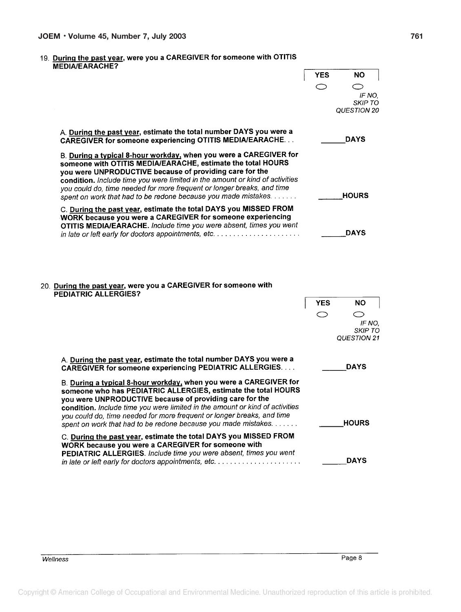# 19. During the past year, were you a CAREGIVER for someone with OTITIS<br>MEDIA/EARACHE?

| <b>MEDIA/EARACHE?</b>                                                                                                                                                                                                                                                         |            |                              |
|-------------------------------------------------------------------------------------------------------------------------------------------------------------------------------------------------------------------------------------------------------------------------------|------------|------------------------------|
|                                                                                                                                                                                                                                                                               | <b>YES</b> | NΟ                           |
|                                                                                                                                                                                                                                                                               | ⌒          | $\overline{\phantom{a}}$     |
|                                                                                                                                                                                                                                                                               |            | IF NO.<br><b>SKIPTO</b>      |
|                                                                                                                                                                                                                                                                               |            | QUESTION 20                  |
|                                                                                                                                                                                                                                                                               |            |                              |
| A. During the past year, estimate the total number DAYS you were a<br><b>CAREGIVER for someone experiencing OTITIS MEDIA/EARACHE</b>                                                                                                                                          |            | <b>DAYS</b>                  |
| B. During a typical 8-hour workday, when you were a CAREGIVER for<br>someone with OTITIS MEDIA/EARACHE, estimate the total HOURS<br>you were UNPRODUCTIVE because of providing care for the<br>condition. Include time you were limited in the amount or kind of activities   |            |                              |
| you could do, time needed for more frequent or longer breaks, and time<br>spent on work that had to be redone because you made mistakes.                                                                                                                                      |            | <b>HOURS</b>                 |
| C. During the past year, estimate the total DAYS you MISSED FROM<br>WORK because you were a CAREGIVER for someone experiencing<br>OTITIS MEDIA/EARACHE. Include time you were absent, times you went                                                                          |            |                              |
|                                                                                                                                                                                                                                                                               |            | <b>DAYS</b>                  |
| 20. During the past year, were you a CAREGIVER for someone with<br>PEDIATRIC ALLERGIES?                                                                                                                                                                                       | <b>YES</b> | NO.                          |
|                                                                                                                                                                                                                                                                               | ◯          |                              |
|                                                                                                                                                                                                                                                                               |            | IF NO,                       |
|                                                                                                                                                                                                                                                                               |            | <b>SKIPTO</b><br>QUESTION 21 |
| A. During the past year, estimate the total number DAYS you were a<br><b>CAREGIVER for someone experiencing PEDIATRIC ALLERGIES</b>                                                                                                                                           |            | <b>DAYS</b>                  |
| B. During a typical 8-hour workday, when you were a CAREGIVER for<br>someone who has PEDIATRIC ALLERGIES, estimate the total HOURS<br>you were UNPRODUCTIVE because of providing care for the<br>condition. Include time you were limited in the amount or kind of activities |            |                              |
| you could do, time needed for more frequent or longer breaks, and time<br>spent on work that had to be redone because you made mistakes.                                                                                                                                      |            | <b>HOURS</b>                 |
| C. During the past year, estimate the total DAYS you MISSED FROM<br>WORK because you were a CAREGIVER for someone with<br>PEDIATRIC ALLERGIES. Include time you were absent, times you went                                                                                   |            |                              |
|                                                                                                                                                                                                                                                                               |            | <b>DAYS</b>                  |